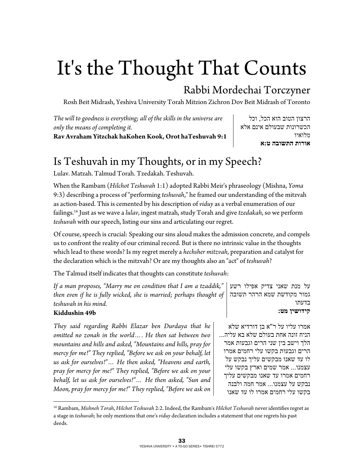# It's the Thought That Counts

### Rabbi Mordechai Torczyner

Rosh Beit Midrash, Yeshiva University Torah Mitzion Zichron Dov Beit Midrash of Toronto

*The will to goodness is everything; all of the skills in the universe are only the means of completing it.*  **Rav Avraham Yitzchak haKohen Kook, Orot haTeshuvah 9:1** 

הרצון הטוב הוא הכל , וכל הכשרונות שבעולם אינם אלא מלואיו **אורות התשובה ט:א** 

# Is Teshuvah in my Thoughts, or in my Speech?

Lulav. Matzah. Talmud Torah. Tzedakah. Teshuvah.

When the Rambam (*Hilchot Teshuvah* 1:1) adopted Rabbi Meir's phraseology (Mishna, *Yoma* 9:3) describing a process of "performing *teshuvah*," he framed our understanding of the mitzvah as action-based. This is cemented by his description of *viduy* as a verbal enumeration of our failings.16 Just as we wave a *lulav*, ingest matzah, study Torah and give *tzedakah*, so we perform *teshuvah* with our speech, listing our sins and articulating our regret.

Of course, speech is crucial: Speaking our sins aloud makes the admission concrete, and compels us to confront the reality of our criminal record. But is there no intrinsic value in the thoughts which lead to these words? Is my regret merely a *hechsher mitzvah*, preparation and catalyst for the declaration which is the mitzvah? Or are my thoughts also an "act" of *teshuvah*?

The Talmud itself indicates that thoughts can constitute *teshuvah*:

| If a man proposes, "Marry me on condition that I am a tzaddik,"   על מנת שאני צדיק אפילו רשע     |             |
|--------------------------------------------------------------------------------------------------|-------------|
| then even if he is fully wicked, she is married; perhaps thought of   גמור מקודשת שמא הרהר תשובה |             |
| teshuvah in his mind.                                                                            | רדטחו       |
| Kiddushin 49b                                                                                    | קידושיו מט: |

*They said regarding Rabbi Elazar ben Durdaya that he omitted no zonah in the world…. He then sat between two mountains and hills and asked, "Mountains and hills, pray for mercy for me!" They replied, "Before we ask on your behalf, let us ask for ourselves!"… He then asked, "Heavens and earth, pray for mercy for me!" They replied, "Before we ask on your behalf, let us ask for ourselves!"… He then asked, "Sun and Moon, pray for mercy for me!" They replied, "Before we ask on* 

 $\overline{a}$ 

אמרו עליו על ר"א בן דורדיא שלא הניח זונה אחת בעולם שלא בא עליה... הלך וישב בין שני הרים וגבעות אמר הרים וגבעות בקשו עלי רחמים אמרו לו עד שאנו מבקשים עליך נבקש על עצמנו... אמר שמים וארץ בקשו עלי רחמים אמרו עד שאנו מבקשים עליך נבקש על עצמנו... אמר חמה ולבנה בקשו עלי רחמים אמרו לו עד שאנו

<sup>16</sup> Rambam, *Mishneh Torah*, *Hilchot Teshuvah* 2:2. Indeed, the Rambam's *Hilchot Teshuvah* never identifies regret as a stage in *teshuvah*; he only mentions that one's *viduy* declaration includes a statement that one regrets his past deeds.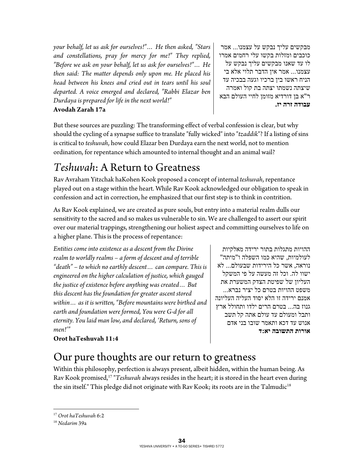*your behalf, let us ask for ourselves!"… He then asked, "Stars and constellations, pray for mercy for me!" They replied, "Before we ask on your behalf, let us ask for ourselves!"… He then said: The matter depends only upon me. He placed his head between his knees and cried out in tears until his soul departed. A voice emerged and declared, "Rabbi Elazar ben Durdaya is prepared for life in the next world!"*  **Avodah Zarah 17a** 

מבקשים עליך נבקש על עצמנו ... אמר כוכבים ומזלות בקשו עלי רחמים אמרו לו עד שאנו מבקשים עליך נבקש על עצמנו... אמר אין הדבר תלוי אלא בי הניח ראשו בין ברכיו וגעה בבכיה עד שיצתה נשמתו יצתה בת קול ואמרה ר"א בן דורדיא מזומן לחיי העולם הבא **עבודה זרה יז.**

But these sources are puzzling: The transforming effect of verbal confession is clear, but why should the cycling of a synapse suffice to translate "fully wicked" into "*tzaddik*"? If a listing of sins is critical to *teshuvah*, how could Elazar ben Durdaya earn the next world, not to mention ordination, for repentance which amounted to internal thought and an animal wail?

# *Teshuvah*: A Return to Greatness

Rav Avraham Yitzchak haKohen Kook proposed a concept of internal *teshuvah*, repentance played out on a stage within the heart. While Rav Kook acknowledged our obligation to speak in confession and act in correction, he emphasized that our first step is to think in contrition.

As Rav Kook explained, we are created as pure souls, but entry into a material realm dulls our sensitivity to the sacred and so makes us vulnerable to sin. We are challenged to assert our spirit over our material trappings, strengthening our holiest aspect and committing ourselves to life on a higher plane. This is the process of repentance:

*Entities come into existence as a descent from the Divine realm to worldly realms – a form of descent and of terrible "death" – to which no earthly descent… can compare. This is engineered on the higher calculation of justice, which gauged the justice of existence before anything was created… But this descent has the foundation for greater ascent stored within… as it is written, "Before mountains were birthed and earth and foundation were formed, You were G-d for all eternity. You laid man low, and declared, 'Return, sons of men!'"* 

ההויות מתגלות בתור ירידה מאלקיות לעולמיות, שהיא כמו השפלה ו"מיתה" נוראה, אשר כל הירידות שבעולם ... לא ישוו לה. וכל זה מעשה על פי המשקל העליון של שפיטת הצדק המשערת את משפט ההויות בטרם כל יציר נברא... אמנם ירידה זו הלא יסוד העליה העליונה גנוז בה... בטרם הרים ילדו ותחולל ארץ ותבל ומעולם עד עולם אתה קל תשב אנוש עד דכא ותאמר שובו בני אדם **אורות התשובה יא:ד** 

#### **Orot haTeshuvah 11:4**

## Our pure thoughts are our return to greatness

Within this philosophy, perfection is always present, albeit hidden, within the human being. As Rav Kook promised,17 "*Teshuvah* always resides in the heart; it is stored in the heart even during the sin itself." This pledge did not originate with Rav Kook; its roots are in the Talmudic<sup>18</sup>

 $\overline{a}$ <sup>17</sup> Orot haTeshuvah 6:2<br><sup>18</sup> Nedarim 39a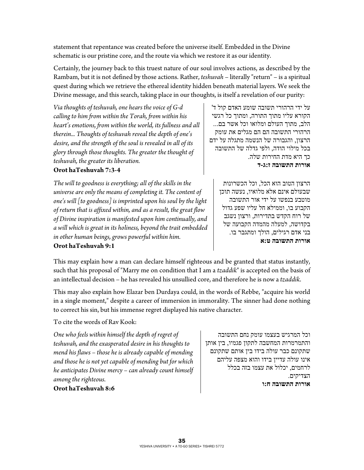statement that repentance was created before the universe itself. Embedded in the Divine schematic is our pristine core, and the route via which we restore it as our identity.

Certainly, the journey back to this truest nature of our soul involves actions, as described by the Rambam, but it is not defined by those actions. Rather, *teshuvah* – literally "return" – is a spiritual quest during which we retrieve the ethereal identity hidden beneath material layers. We seek the Divine message, and this search, taking place in our thoughts, is itself a revelation of our purity:

*Via thoughts of teshuvah, one hears the voice of G-d calling to him from within the Torah, from within his heart's emotions, from within the world, its fullness and all therein... Thoughts of teshuvah reveal the depth of one's desire, and the strength of the soul is revealed in all of its glory through those thoughts. The greater the thought of teshuvah, the greater its liberation.* 

#### **Orot haTeshuvah 7:3-4**

*The will to goodness is everything; all of the skills in the universe are only the means of completing it. The content of one's will [to goodness] is imprinted upon his soul by the light of return that is affixed within, and as a result, the great flow of Divine inspiration is manifested upon him continually, and a will which is great in its holiness, beyond the trait embedded in other human beings, grows powerful within him.*  **Orot haTeshuvah 9:1**

על ידי הרהורי תשובה שומע האדם קול ד' הקורא עליו מתוך התורה, ומתוך כל רגשי הלב, מתוך העולם ומלואו וכל אשר בם... הרהורי התשובה הם הם מגלים את עומק הרצון, והגבורה של הנשמה מתגלה על ידם בכל מילוי הודה, ולפי גדלה של התשובה כך היא מדת החירות שלה. **אורות התשובה ז:ג- ד**

הרצון הטוב הוא הכל, וכל הכשרונות שבעולם אינם אלא מלואיו , נעשה תוכן מוטבע בנפשו על ידי אור התשובה הקבוע בו, וממילא חל עליו שפע גדול של רוח הקדש בתדירות , ורצון נשגב בקדושה, למעלה מהמדה הקבועה של בני אדם רגילים, הולך ומתגבר בו. **אורות התשובה ט:א** 

This may explain how a man can declare himself righteous and be granted that status instantly, such that his proposal of "Marry me on condition that I am a *tzaddik*" is accepted on the basis of an intellectual decision – he has revealed his unsullied core, and therefore he is now a *tzaddik*.

This may also explain how Elazar ben Durdaya could, in the words of Rebbe, "acquire his world in a single moment," despite a career of immersion in immorality. The sinner had done nothing to correct his sin, but his immense regret displayed his native character.

To cite the words of Rav Kook:

*One who feels within himself the depth of regret of teshuvah, and the exasperated desire in his thoughts to mend his flaws – those he is already capable of mending and those he is not yet capable of mending but for which he anticipates Divine mercy – can already count himself among the righteous.* 

**Orot haTeshuvah 8:6** 

וכל המרגיש בעצמו עומק נחם התשובה והתמרמרות המחשבה לתקון פגמיו , בין אותן שתקונם כבר עולה בידו בין אותם שתקונם אינו עולה עדיין בידו והוא מצפה עליהם לרחמים, יכלול את עצמו בזה בכלל הצדיקים. **אורות התשובה ח:ו**